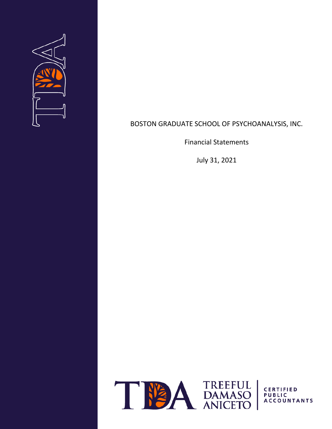

Financial Statements

July 31, 2021



**CERTIFIED PUBLIC ACCOUNTANTS**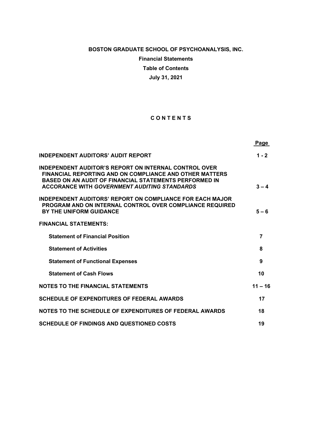**Financial Statements** 

**Table of Contents** 

**July 31, 2021** 

## **C O N T E N T S**

|                                                                                                                                                                                                                                                 | <b>Page</b>    |
|-------------------------------------------------------------------------------------------------------------------------------------------------------------------------------------------------------------------------------------------------|----------------|
| <b>INDEPENDENT AUDITORS' AUDIT REPORT</b>                                                                                                                                                                                                       | $1 - 2$        |
| <b>INDEPENDENT AUDITOR'S REPORT ON INTERNAL CONTROL OVER</b><br><b>FINANCIAL REPORTING AND ON COMPLIANCE AND OTHER MATTERS</b><br><b>BASED ON AN AUDIT OF FINANCIAL STATEMENTS PERFORMED IN</b><br>ACCORANCE WITH GOVERNMENT AUDITING STANDARDS | $3 - 4$        |
| <b>INDEPENDENT AUDITORS' REPORT ON COMPLIANCE FOR EACH MAJOR</b><br><b>PROGRAM AND ON INTERNAL CONTROL OVER COMPLIANCE REQUIRED</b><br>BY THE UNIFORM GUIDANCE                                                                                  | $5 - 6$        |
| <b>FINANCIAL STATEMENTS:</b>                                                                                                                                                                                                                    |                |
| <b>Statement of Financial Position</b>                                                                                                                                                                                                          | $\overline{7}$ |
| <b>Statement of Activities</b>                                                                                                                                                                                                                  | 8              |
| <b>Statement of Functional Expenses</b>                                                                                                                                                                                                         | 9              |
| <b>Statement of Cash Flows</b>                                                                                                                                                                                                                  | 10             |
| <b>NOTES TO THE FINANCIAL STATEMENTS</b>                                                                                                                                                                                                        | $11 - 16$      |
| <b>SCHEDULE OF EXPENDITURES OF FEDERAL AWARDS</b>                                                                                                                                                                                               | 17             |
| NOTES TO THE SCHEDULE OF EXPENDITURES OF FEDERAL AWARDS                                                                                                                                                                                         | 18             |
| <b>SCHEDULE OF FINDINGS AND QUESTIONED COSTS</b>                                                                                                                                                                                                | 19             |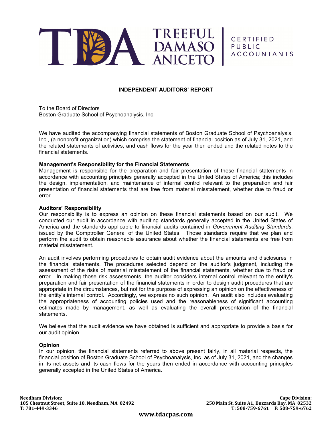

**CERTIFIED** PUBLIC **ACCOUNTANTS** 

### **INDEPENDENT AUDITORS' REPORT**

To the Board of Directors Boston Graduate School of Psychoanalysis, Inc.

We have audited the accompanying financial statements of Boston Graduate School of Psychoanalysis, Inc., (a nonprofit organization) which comprise the statement of financial position as of July 31, 2021, and the related statements of activities, and cash flows for the year then ended and the related notes to the financial statements.

#### **Management's Responsibility for the Financial Statements**

Management is responsible for the preparation and fair presentation of these financial statements in accordance with accounting principles generally accepted in the United States of America; this includes the design, implementation, and maintenance of internal control relevant to the preparation and fair presentation of financial statements that are free from material misstatement, whether due to fraud or error.

#### **Auditors' Responsibility**

Our responsibility is to express an opinion on these financial statements based on our audit. We conducted our audit in accordance with auditing standards generally accepted in the United States of America and the standards applicable to financial audits contained in *Government Auditing Standards*, issued by the Comptroller General of the United States. Those standards require that we plan and perform the audit to obtain reasonable assurance about whether the financial statements are free from material misstatement.

An audit involves performing procedures to obtain audit evidence about the amounts and disclosures in the financial statements. The procedures selected depend on the auditor's judgment, including the assessment of the risks of material misstatement of the financial statements, whether due to fraud or error. In making those risk assessments, the auditor considers internal control relevant to the entity's preparation and fair presentation of the financial statements in order to design audit procedures that are appropriate in the circumstances, but not for the purpose of expressing an opinion on the effectiveness of the entity's internal control. Accordingly, we express no such opinion. An audit also includes evaluating the appropriateness of accounting policies used and the reasonableness of significant accounting estimates made by management, as well as evaluating the overall presentation of the financial statements.

We believe that the audit evidence we have obtained is sufficient and appropriate to provide a basis for our audit opinion.

#### **Opinion**

In our opinion, the financial statements referred to above present fairly, in all material respects, the financial position of Boston Graduate School of Psychoanalysis, Inc. as of July 31, 2021, and the changes in its net assets and its cash flows for the years then ended in accordance with accounting principles generally accepted in the United States of America.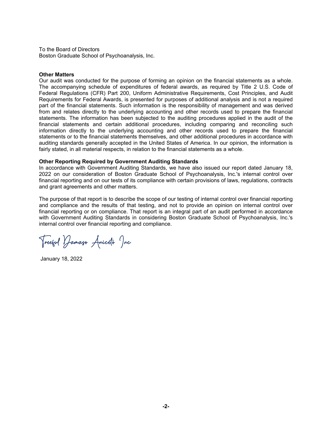To the Board of Directors Boston Graduate School of Psychoanalysis, Inc.

#### **Other Matters**

Our audit was conducted for the purpose of forming an opinion on the financial statements as a whole. The accompanying schedule of expenditures of federal awards, as required by Title 2 U.S. Code of Federal Regulations (CFR) Part 200, Uniform Administrative Requirements, Cost Principles, and Audit Requirements for Federal Awards, is presented for purposes of additional analysis and is not a required part of the financial statements. Such information is the responsibility of management and was derived from and relates directly to the underlying accounting and other records used to prepare the financial statements. The information has been subjected to the auditing procedures applied in the audit of the financial statements and certain additional procedures, including comparing and reconciling such information directly to the underlying accounting and other records used to prepare the financial statements or to the financial statements themselves, and other additional procedures in accordance with auditing standards generally accepted in the United States of America. In our opinion, the information is fairly stated, in all material respects, in relation to the financial statements as a whole.

#### **Other Reporting Required by Government Auditing Standards**

In accordance with Government Auditing Standards, we have also issued our report dated January 18, 2022 on our consideration of Boston Graduate School of Psychoanalysis, Inc.'s internal control over financial reporting and on our tests of its compliance with certain provisions of laws, regulations, contracts and grant agreements and other matters.

The purpose of that report is to describe the scope of our testing of internal control over financial reporting and compliance and the results of that testing, and not to provide an opinion on internal control over financial reporting or on compliance. That report is an integral part of an audit performed in accordance with Government Auditing Standards in considering Boston Graduate School of Psychoanalysis, Inc.'s internal control over financial reporting and compliance.

Treeful Damaso Aniceto, Inc.

January 18, 2022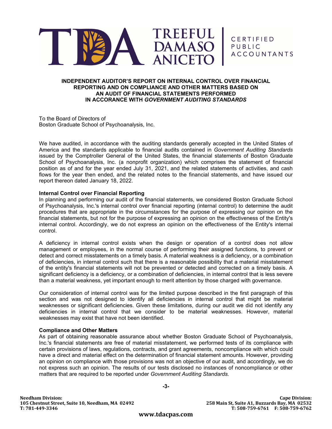

#### **INDEPENDENT AUDITOR'S REPORT ON INTERNAL CONTROL OVER FINANCIAL REPORTING AND ON COMPLIANCE AND OTHER MATTERS BASED ON AN AUDIT OF FINANCIAL STATEMENTS PERFORMED IN ACCORANCE WITH** *GOVERNMENT AUDITING STANDARDS*

To the Board of Directors of Boston Graduate School of Psychoanalysis, Inc.

We have audited, in accordance with the auditing standards generally accepted in the United States of America and the standards applicable to financial audits contained in *Government Auditing Standards* issued by the Comptroller General of the United States, the financial statements of Boston Graduate School of Psychoanalysis, Inc. (a nonprofit organization) which comprises the statement of financial position as of and for the year ended July 31, 2021, and the related statements of activities, and cash flows for the year then ended, and the related notes to the financial statements, and have issued our report thereon dated January 18, 2022.

#### **Internal Control over Financial Reporting**

In planning and performing our audit of the financial statements, we considered Boston Graduate School of Psychoanalysis, Inc.'s internal control over financial reporting (internal control) to determine the audit procedures that are appropriate in the circumstances for the purpose of expressing our opinion on the financial statements, but not for the purpose of expressing an opinion on the effectiveness of the Entity's internal control. Accordingly, we do not express an opinion on the effectiveness of the Entity's internal control.

A deficiency in internal control exists when the design or operation of a control does not allow management or employees, in the normal course of performing their assigned functions, to prevent or detect and correct misstatements on a timely basis. A material weakness is a deficiency, or a combination of deficiencies, in internal control such that there is a reasonable possibility that a material misstatement of the entity's financial statements will not be prevented or detected and corrected on a timely basis. A significant deficiency is a deficiency, or a combination of deficiencies, in internal control that is less severe than a material weakness, yet important enough to merit attention by those charged with governance.

Our consideration of internal control was for the limited purpose described in the first paragraph of this section and was not designed to identify all deficiencies in internal control that might be material weaknesses or significant deficiencies. Given these limitations, during our audit we did not identify any deficiencies in internal control that we consider to be material weaknesses. However, material weaknesses may exist that have not been identified.

#### **Compliance and Other Matters**

As part of obtaining reasonable assurance about whether Boston Graduate School of Psychoanalysis, Inc.'s financial statements are free of material misstatement, we performed tests of its compliance with certain provisions of laws, regulations, contracts, and grant agreements, noncompliance with which could have a direct and material effect on the determination of financial statement amounts. However, providing an opinion on compliance with those provisions was not an objective of our audit, and accordingly, we do not express such an opinion. The results of our tests disclosed no instances of noncompliance or other matters that are required to be reported under *Government Auditing Standards.*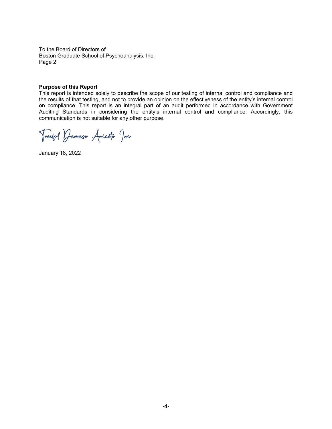To the Board of Directors of Boston Graduate School of Psychoanalysis, Inc. Page 2

#### **Purpose of this Report**

This report is intended solely to describe the scope of our testing of internal control and compliance and the results of that testing, and not to provide an opinion on the effectiveness of the entity's internal control on compliance. This report is an integral part of an audit performed in accordance with Government Auditing Standards in considering the entity's internal control and compliance. Accordingly, this communication is not suitable for any other purpose.

Treeful Damaso Aniceto, Inc.

January 18, 2022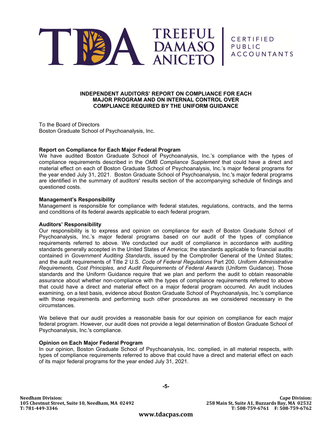

**CERTIFIED** PUBLIC **ACCOUNTANTS** 

#### **INDEPENDENT AUDITORS' REPORT ON COMPLIANCE FOR EACH MAJOR PROGRAM AND ON INTERNAL CONTROL OVER COMPLIANCE REQUIRED BY THE UNIFORM GUIDANCE**

To the Board of Directors Boston Graduate School of Psychoanalysis, Inc.

#### **Report on Compliance for Each Major Federal Program**

We have audited Boston Graduate School of Psychoanalysis, Inc.'s compliance with the types of compliance requirements described in the *OMB Compliance Supplement* that could have a direct and material effect on each of Boston Graduate School of Psychoanalysis, Inc.'s major federal programs for the year ended July 31, 2021. Boston Graduate School of Psychoanalysis, Inc.'s major federal programs are identified in the summary of auditors' results section of the accompanying schedule of findings and questioned costs.

#### **Management's Responsibility**

Management is responsible for compliance with federal statutes, regulations, contracts, and the terms and conditions of its federal awards applicable to each federal program.

#### **Auditors' Responsibility**

Our responsibility is to express and opinion on compliance for each of Boston Graduate School of Psychoanalysis, Inc.'s major federal programs based on our audit of the types of compliance requirements referred to above. We conducted our audit of compliance in accordance with auditing standards generally accepted in the United States of America; the standards applicable to financial audits contained in *Government Auditing Standards*, issued by the Comptroller General of the United States; and the audit requirements of Title 2 U.S. *Code of Federal Regulations* Part 200, *Uniform Administrative Requirements, Cost Principles, and Audit Requirements of Federal Awards* (Uniform Guidance). Those standards and the Uniform Guidance require that we plan and perform the audit to obtain reasonable assurance about whether non-compliance with the types of compliance requirements referred to above that could have a direct and material effect on a major federal program occurred. An audit includes examining, on a test basis, evidence about Boston Graduate School of Psychoanalysis, Inc.'s compliance with those requirements and performing such other procedures as we considered necessary in the circumstances.

We believe that our audit provides a reasonable basis for our opinion on compliance for each major federal program. However, our audit does not provide a legal determination of Boston Graduate School of Psychoanalysis, Inc.'s compliance.

#### **Opinion on Each Major Federal Program**

In our opinion, Boston Graduate School of Psychoanalysis, Inc. complied, in all material respects, with types of compliance requirements referred to above that could have a direct and material effect on each of its major federal programs for the year ended July 31, 2021.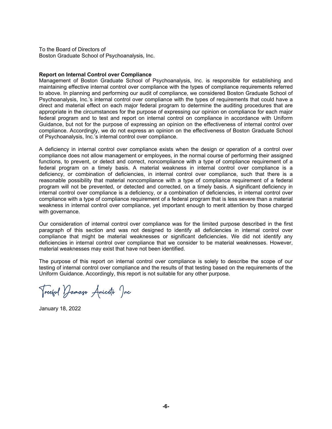To the Board of Directors of Boston Graduate School of Psychoanalysis, Inc.

#### **Report on Internal Control over Compliance**

Management of Boston Graduate School of Psychoanalysis, Inc. is responsible for establishing and maintaining effective internal control over compliance with the types of compliance requirements referred to above. In planning and performing our audit of compliance, we considered Boston Graduate School of Psychoanalysis, Inc.'s internal control over compliance with the types of requirements that could have a direct and material effect on each major federal program to determine the auditing procedures that are appropriate in the circumstances for the purpose of expressing our opinion on compliance for each major federal program and to test and report on internal control on compliance in accordance with Uniform Guidance, but not for the purpose of expressing an opinion on the effectiveness of internal control over compliance. Accordingly, we do not express an opinion on the effectiveness of Boston Graduate School of Psychoanalysis, Inc.'s internal control over compliance.

A deficiency in internal control over compliance exists when the design or operation of a control over compliance does not allow management or employees, in the normal course of performing their assigned functions, to prevent, or detect and correct, noncompliance with a type of compliance requirement of a federal program on a timely basis. A material weakness in internal control over compliance is a deficiency, or combination of deficiencies, in internal control over compliance, such that there is a reasonable possibility that material noncompliance with a type of compliance requirement of a federal program will not be prevented, or detected and corrected, on a timely basis. A significant deficiency in internal control over compliance is a deficiency, or a combination of deficiencies, in internal control over compliance with a type of compliance requirement of a federal program that is less severe than a material weakness in internal control over compliance, yet important enough to merit attention by those charged with governance.

Our consideration of internal control over compliance was for the limited purpose described in the first paragraph of this section and was not designed to identify all deficiencies in internal control over compliance that might be material weaknesses or significant deficiencies. We did not identify any deficiencies in internal control over compliance that we consider to be material weaknesses. However, material weaknesses may exist that have not been identified.

The purpose of this report on internal control over compliance is solely to describe the scope of our testing of internal control over compliance and the results of that testing based on the requirements of the Uniform Guidance. Accordingly, this report is not suitable for any other purpose.

Treeful Damaso Aniceto, Inc.

January 18, 2022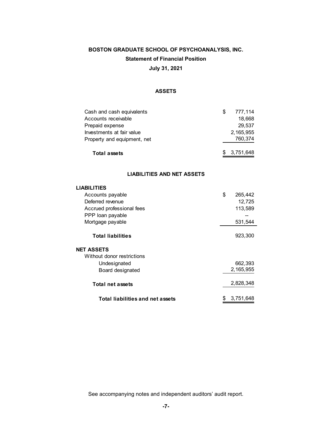# **BOSTON GRADUATE SCHOOL OF PSYCHOANALYSIS, INC. Statement of Financial Position**

**July 31, 2021**

### **ASSETS**

| Cash and cash equivalents   | \$. | 777,114     |
|-----------------------------|-----|-------------|
| Accounts receivable         |     | 18,668      |
| Prepaid expense             |     | 29,537      |
| Investments at fair value   |     | 2,165,955   |
| Property and equipment, net |     | 760.374     |
| <b>Total assets</b>         |     | \$3,751,648 |

### **LIABILITIES AND NET ASSETS**

| <b>LIABILITIES</b>               |               |
|----------------------------------|---------------|
| Accounts payable                 | \$<br>265,442 |
| Deferred revenue                 | 12,725        |
| Accrued professional fees        | 113,589       |
| PPP loan payable                 |               |
| Mortgage payable                 | 531,544       |
| <b>Total liabilities</b>         | 923,300       |
| NET ASSETS                       |               |
| Without donor restrictions       |               |
| Undesignated                     | 662,393       |
| Board designated                 | 2, 165, 955   |
| <b>Total net assets</b>          | 2,828,348     |
| Total liabilities and net assets | 3,751,648     |
|                                  |               |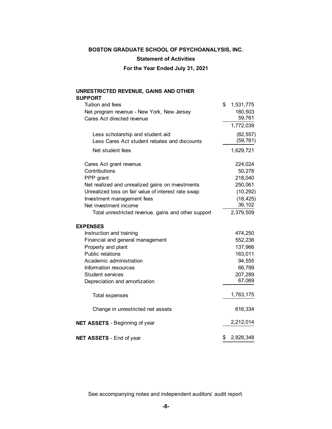#### **Statement of Activities**

**For the Year Ended July 31, 2021** 

#### **UNRESTRICTED REVENUE, GAINS AND OTHER SUPPORT**

| Tuition and fees                                    | \$<br>1,531,775 |
|-----------------------------------------------------|-----------------|
| Net program revenue - New York, New Jersey          | 180,503         |
| Cares Act directed revenue                          | 59,761          |
|                                                     | 1,772,039       |
| Less scholarship and student aid                    | (82, 557)       |
| Less Cares Act student rebates and discounts        | (59, 761)       |
| Net student fees                                    | 1,629,721       |
| Cares Act grant revenue                             | 224,024         |
| Contributions                                       | 50,278          |
| PPP grant                                           | 218,040         |
| Net realized and unrealized gains on investments    | 250,061         |
| Unrealized loss on fair value of interest rate swap | (10, 292)       |
| Investment management fees                          | (18, 425)       |
| Net investment income                               | 36,102          |
| Total unrestricted revenue, gains and other support | 2,379,509       |
| <b>EXPENSES</b>                                     |                 |
| Instruction and training                            | 474,250         |
| Financial and general management                    | 552,236         |
| Property and plant                                  | 137,966         |
| <b>Public relations</b>                             | 163,011         |
| Academic administration                             | 94,555          |
| Information resources                               | 66,799          |
| <b>Student services</b>                             | 207,289         |
| Depreciation and amortization                       | 67,069          |
| Total expenses                                      | 1,763,175       |
| Change in unrestricted net assets                   | 616,334         |
| NET ASSETS - Beginning of year                      | 2,212,014       |
| <b>NET ASSETS - End of year</b>                     | \$<br>2,828,348 |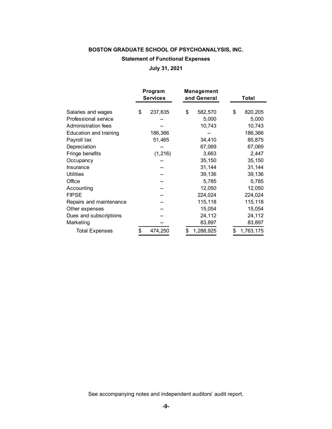#### **Statement of Functional Expenses**

**July 31, 2021**

|                               | Program<br><b>Services</b> |          |    | <b>Management</b><br>and General |  | Total |           |
|-------------------------------|----------------------------|----------|----|----------------------------------|--|-------|-----------|
| Salaries and wages            | \$                         | 237,635  | \$ | 582,570                          |  | \$    | 820,205   |
| Professional service          |                            |          |    | 5,000                            |  |       | 5,000     |
| Administration fees           |                            |          |    | 10,743                           |  |       | 10,743    |
| <b>Education and training</b> |                            | 186,366  |    |                                  |  |       | 186,366   |
| Payroll tax                   |                            | 51,465   |    | 34,410                           |  |       | 85,875    |
| Depreciation                  |                            |          |    | 67,069                           |  |       | 67,069    |
| Fringe benefits               |                            | (1, 216) |    | 3,663                            |  |       | 2,447     |
| Occupancy                     |                            | 35,150   |    |                                  |  |       | 35,150    |
| Insurance                     |                            |          |    | 31,144                           |  |       | 31,144    |
| <b>Utilities</b>              |                            |          |    | 39,136                           |  |       | 39,136    |
| Office                        |                            |          |    | 5,785                            |  |       | 5,785     |
| Accounting                    |                            |          |    | 12,050                           |  |       | 12,050    |
| <b>FIPSE</b>                  |                            |          |    | 224,024                          |  |       | 224,024   |
| Repairs and maintenance       |                            |          |    | 115,118                          |  |       | 115,118   |
| Other expenses                |                            |          |    | 15,054                           |  |       | 15,054    |
| Dues and subscriptions        |                            |          |    | 24,112                           |  |       | 24,112    |
| Marketing                     |                            |          |    | 83,897                           |  |       | 83,897    |
| <b>Total Expenses</b>         | \$                         | 474,250  |    | 1,288,925                        |  | S     | 1,763,175 |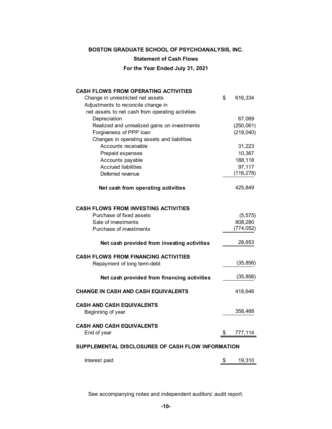#### **Statement of Cash Flows**

**For the Year Ended July 31, 2021** 

| <b>CASH FLOWS FROM OPERATING ACTIVITIES</b><br>Change in unrestricted net assets<br>Adjustments to reconcile change in | \$<br>616,334         |
|------------------------------------------------------------------------------------------------------------------------|-----------------------|
| net assets to net cash from operating activities<br>Depreciation                                                       | 67,069                |
| Realized and unrealized gains on investments                                                                           | (250, 061)            |
| Forgiveness of PPP loan                                                                                                | (218, 040)            |
| Changes in operating assets and liabilities                                                                            |                       |
| Accounts receivable                                                                                                    | 31,223                |
| Prepaid expenses                                                                                                       | 10,367                |
| Accounts payable                                                                                                       | 188,118               |
| <b>Accrued liabilities</b><br>Deferred revenue                                                                         | 97,117<br>(116, 278)  |
|                                                                                                                        |                       |
| Net cash from operating activities                                                                                     | 425,849               |
| <b>CASH FLOWS FROM INVESTING ACTIVITIES</b>                                                                            |                       |
| Purchase of fixed assets                                                                                               | (5, 575)              |
| Sale of investments<br>Purchase of investments                                                                         | 808,280<br>(774, 052) |
|                                                                                                                        |                       |
| Net cash provided from investing activities                                                                            | 28,653                |
| <b>CASH FLOWS FROM FINANCING ACTIVITIES</b><br>Repayment of long term-debt                                             | (35, 856)             |
| Net cash provided from financing activities                                                                            | (35, 856)             |
| <b>CHANGE IN CASH AND CASH EQUIVALENTS</b>                                                                             | 418,646               |
| <b>CASH AND CASH EQUIVALENTS</b><br>Beginning of year                                                                  | 358,468               |
| <b>CASH AND CASH EQUIVALENTS</b><br>End of year                                                                        | \$<br>777,114         |
| SUPPLEMENTAL DISCLOSURES OF CASH FLOW INFORMATION                                                                      |                       |
| Interest paid                                                                                                          | \$<br>19,310          |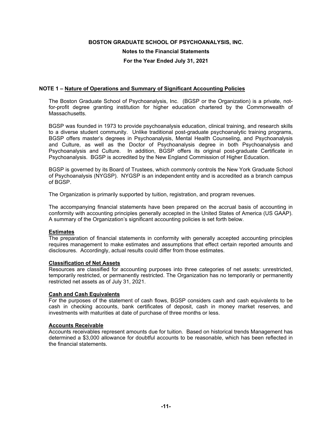**Notes to the Financial Statements** 

**For the Year Ended July 31, 2021** 

#### **NOTE 1 – Nature of Operations and Summary of Significant Accounting Policies**

The Boston Graduate School of Psychoanalysis, Inc. (BGSP or the Organization) is a private, notfor-profit degree granting institution for higher education chartered by the Commonwealth of Massachusetts.

BGSP was founded in 1973 to provide psychoanalysis education, clinical training, and research skills to a diverse student community. Unlike traditional post-graduate psychoanalytic training programs, BGSP offers master's degrees in Psychoanalysis, Mental Health Counseling, and Psychoanalysis and Culture, as well as the Doctor of Psychoanalysis degree in both Psychoanalysis and Psychoanalysis and Culture. In addition, BGSP offers its original post-graduate Certificate in Psychoanalysis. BGSP is accredited by the New England Commission of Higher Education.

BGSP is governed by its Board of Trustees, which commonly controls the New York Graduate School of Psychoanalysis (NYGSP). NYGSP is an independent entity and is accredited as a branch campus of BGSP.

The Organization is primarily supported by tuition, registration, and program revenues.

The accompanying financial statements have been prepared on the accrual basis of accounting in conformity with accounting principles generally accepted in the United States of America (US GAAP). A summary of the Organization's significant accounting policies is set forth below.

#### **Estimates**

The preparation of financial statements in conformity with generally accepted accounting principles requires management to make estimates and assumptions that effect certain reported amounts and disclosures. Accordingly, actual results could differ from those estimates.

#### **Classification of Net Assets**

Resources are classified for accounting purposes into three categories of net assets: unrestricted, temporarily restricted, or permanently restricted. The Organization has no temporarily or permanently restricted net assets as of July 31, 2021.

#### **Cash and Cash Equivalents**

For the purposes of the statement of cash flows, BGSP considers cash and cash equivalents to be cash in checking accounts, bank certificates of deposit, cash in money market reserves, and investments with maturities at date of purchase of three months or less.

#### **Accounts Receivable**

Accounts receivables represent amounts due for tuition. Based on historical trends Management has determined a \$3,000 allowance for doubtful accounts to be reasonable, which has been reflected in the financial statements.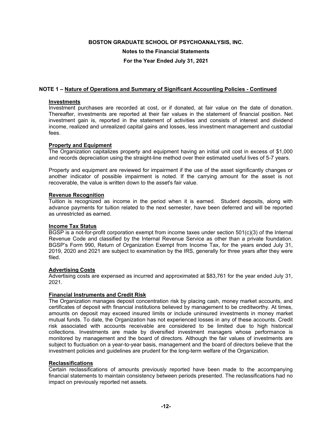## **BOSTON GRADUATE SCHOOL OF PSYCHOANALYSIS, INC. Notes to the Financial Statements For the Year Ended July 31, 2021**

#### **NOTE 1 – Nature of Operations and Summary of Significant Accounting Policies - Continued**

#### **Investments**

Investment purchases are recorded at cost, or if donated, at fair value on the date of donation. Thereafter, investments are reported at their fair values in the statement of financial position. Net investment gain is, reported in the statement of activities and consists of interest and dividend income, realized and unrealized capital gains and losses, less investment management and custodial fees.

#### **Property and Equipment**

The Organization capitalizes property and equipment having an initial unit cost in excess of \$1,000 and records depreciation using the straight-line method over their estimated useful lives of 5-7 years.

Property and equipment are reviewed for impairment if the use of the asset significantly changes or another indicator of possible impairment is noted. If the carrying amount for the asset is not recoverable, the value is written down to the asset's fair value.

#### **Revenue Recognition**

Tuition is recognized as income in the period when it is earned. Student deposits, along with advance payments for tuition related to the next semester, have been deferred and will be reported as unrestricted as earned.

#### **Income Tax Status**

BGSP is a not-for-profit corporation exempt from income taxes under section  $501(c)(3)$  of the Internal Revenue Code and classified by the Internal Revenue Service as other than a private foundation. BGSP's Form 990, Return of Organization Exempt from Income Tax, for the years ended July 31, 2019, 2020 and 2021 are subject to examination by the IRS, generally for three years after they were filed.

#### **Advertising Costs**

Advertising costs are expensed as incurred and approximated at \$83,761 for the year ended July 31, 2021.

#### **Financial Instruments and Credit Risk**

The Organization manages deposit concentration risk by placing cash, money market accounts, and certificates of deposit with financial institutions believed by management to be creditworthy. At times, amounts on deposit may exceed insured limits or include uninsured investments in money market mutual funds. To date, the Organization has not experienced losses in any of these accounts. Credit risk associated with accounts receivable are considered to be limited due to high historical collections. Investments are made by diversified investment managers whose performance is monitored by management and the board of directors. Although the fair values of investments are subject to fluctuation on a year-to-year basis, management and the board of directors believe that the investment policies and guidelines are prudent for the long-term welfare of the Organization.

#### **Reclassifications**

Certain reclassifications of amounts previously reported have been made to the accompanying financial statements to maintain consistency between periods presented. The reclassifications had no impact on previously reported net assets.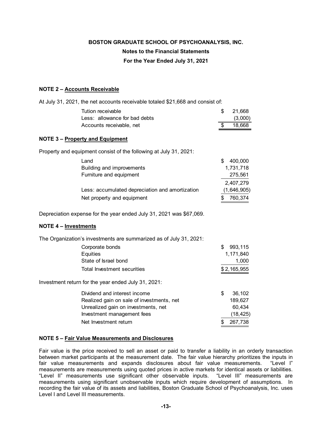**Notes to the Financial Statements** 

**For the Year Ended July 31, 2021**

### **NOTE 2 – Accounts Receivable**

At July 31, 2021, the net accounts receivable totaled \$21,668 and consist of:

| Tution receivable             | 21.668  |
|-------------------------------|---------|
| Less: allowance for bad debts | (3,000) |
| Accounts receivable, net      | 18.668  |

#### **NOTE 3 – Property and Equipment**

Property and equipment consist of the following at July 31, 2021:

| Land                                            | 400.000<br>\$. |
|-------------------------------------------------|----------------|
| Building and improvements                       | 1,731,718      |
| Furniture and equipment                         | 275,561        |
|                                                 | 2,407,279      |
| Less: accumulated depreciation and amortization | (1,646,905)    |
| Net property and equipment                      | 760,374        |

Depreciation expense for the year ended July 31, 2021 was \$67,069.

#### **NOTE 4 – Investments**

The Organization's investments are summarized as of July 31, 2021:

| Corporate bonds                                     | 993,115      |
|-----------------------------------------------------|--------------|
| <b>Equities</b>                                     | 1,171,840    |
| State of Israel bond                                | 1,000        |
| Total Investment securities                         | \$2,165,955  |
| Investment return for the year ended July 31, 2021: |              |
| Dividend and interest income                        | \$<br>36,102 |
| Realized gain on sale of investments, net           | 189,627      |
| Unrealized gain on investments, net                 | 60,434       |
| Investment management fees                          | (18, 425)    |

#### Net Investment return 267,738

#### **NOTE 5 – Fair Value Measurements and Disclosures**

Fair value is the price received to sell an asset or paid to transfer a liability in an orderly transaction between market participants at the measurement date. The fair value hierarchy prioritizes the inputs in fair value measurements and expands disclosures about fair value measurements. "Level I" measurements are measurements using quoted prices in active markets for identical assets or liabilities. "Level II" measurements use significant other observable inputs. "Level III" measurements are measurements using significant unobservable inputs which require development of assumptions. In recording the fair value of its assets and liabilities, Boston Graduate School of Psychoanalysis, Inc. uses Level I and Level III measurements.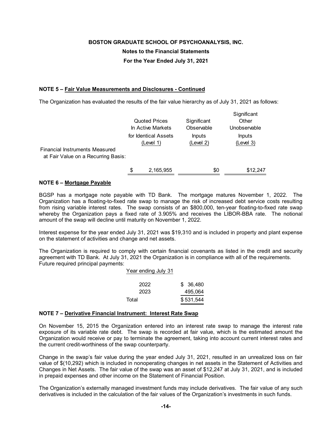## **BOSTON GRADUATE SCHOOL OF PSYCHOANALYSIS, INC. Notes to the Financial Statements For the Year Ended July 31, 2021**

#### **NOTE 5 – Fair Value Measurements and Disclosures - Continued**

The Organization has evaluated the results of the fair value hierarchy as of July 31, 2021 as follows:

|                                       |                      |               |     | Significant   |
|---------------------------------------|----------------------|---------------|-----|---------------|
|                                       | <b>Quoted Prices</b> | Significant   |     | Other         |
|                                       | In Active Markets    | Observable    |     | Unobservable  |
|                                       | for Identical Assets | <b>Inputs</b> |     | <b>Inputs</b> |
|                                       | (Level 1)            | (Level 2)     |     | (Level 3)     |
| <b>Financial Instruments Measured</b> |                      |               |     |               |
| at Fair Value on a Recurring Basis:   |                      |               |     |               |
|                                       |                      |               |     |               |
|                                       | \$<br>2,165,955      |               | \$0 | \$12,247      |
|                                       |                      |               |     |               |

#### **NOTE 6 – Mortgage Payable**

BGSP has a mortgage note payable with TD Bank. The mortgage matures November 1, 2022. The Organization has a floating-to-fixed rate swap to manage the risk of increased debt service costs resulting from rising variable interest rates. The swap consists of an \$800,000, ten-year floating-to-fixed rate swap whereby the Organization pays a fixed rate of 3.905% and receives the LIBOR-BBA rate. The notional amount of the swap will decline until maturity on November 1, 2022.

Interest expense for the year ended July 31, 2021 was \$19,310 and is included in property and plant expense on the statement of activities and change and net assets.

The Organization is required to comply with certain financial covenants as listed in the credit and security agreement with TD Bank. At July 31, 2021 the Organization is in compliance with all of the requirements. Future required principal payments:

| Year ending July 31 |           |
|---------------------|-----------|
| 2022                | \$36,480  |
| 2023                | 495.064   |
| Total               | \$531,544 |

#### **NOTE 7 – Derivative Financial Instrument: Interest Rate Swap**

On November 15, 2015 the Organization entered into an interest rate swap to manage the interest rate exposure of its variable rate debt. The swap is recorded at fair value, which is the estimated amount the Organization would receive or pay to terminate the agreement, taking into account current interest rates and the current credit-worthiness of the swap counterparty.

Change in the swap's fair value during the year ended July 31, 2021, resulted in an unrealized loss on fair value of \$(10,292) which is included in nonoperating changes in net assets in the Statement of Activities and Changes in Net Assets. The fair value of the swap was an asset of \$12,247 at July 31, 2021, and is included in prepaid expenses and other income on the Statement of Financial Position.

The Organization's externally managed investment funds may include derivatives. The fair value of any such derivatives is included in the calculation of the fair values of the Organization's investments in such funds.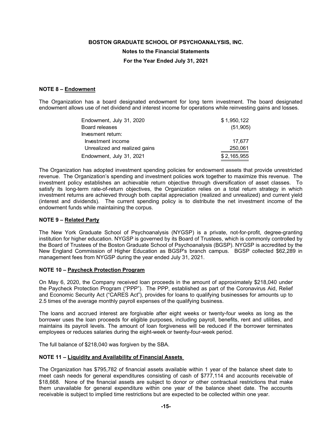**Notes to the Financial Statements** 

**For the Year Ended July 31, 2021**

#### **NOTE 8 – Endowment**

The Organization has a board designated endowment for long term investment. The board designated endowment allows use of net dividend and interest income for operations while reinvesting gains and losses.

| Endowment, July 31, 2020      | \$1,950,122 |
|-------------------------------|-------------|
| Board releases                | (51, 905)   |
| Invesment return:             |             |
| Investment income             | 17,677      |
| Unrealized and realized gains | 250,061     |
| Endowment, July 31, 2021      | \$2,165,955 |

The Organization has adopted investment spending policies for endowment assets that provide unrestricted revenue. The Organization's spending and investment policies work together to maximize this revenue. The investment policy establishes an achievable return objective through diversification of asset classes. To satisfy its long-term rate-of-return objectives, the Organization relies on a total return strategy in which investment returns are achieved through both capital appreciation (realized and unrealized) and current yield (interest and dividends). The current spending policy is to distribute the net investment income of the endowment funds while maintaining the corpus.

#### **NOTE 9 – Related Party**

The New York Graduate School of Psychoanalysis (NYGSP) is a private, not-for-profit, degree-granting institution for higher education. NYGSP is governed by its Board of Trustees, which is commonly controlled by the Board of Trustees of the Boston Graduate School of Psychoanalysis (BGSP). NYGSP is accredited by the New England Commission of Higher Education as BGSP's branch campus. BGSP collected \$62,289 in management fees from NYGSP during the year ended July 31, 2021.

#### **NOTE 10 – Paycheck Protection Program**

On May 6, 2020, the Company received loan proceeds in the amount of approximately \$218,040 under the Paycheck Protection Program ("PPP"). The PPP, established as part of the Coronavirus Aid, Relief and Economic Security Act ("CARES Act"), provides for loans to qualifying businesses for amounts up to 2.5 times of the average monthly payroll expenses of the qualifying business.

The loans and accrued interest are forgivable after eight weeks or twenty-four weeks as long as the borrower uses the loan proceeds for eligible purposes, including payroll, benefits, rent and utilities, and maintains its payroll levels. The amount of loan forgiveness will be reduced if the borrower terminates employees or reduces salaries during the eight-week or twenty-four-week period.

The full balance of \$218,040 was forgiven by the SBA.

#### **NOTE 11 – Liquidity and Availability of Financial Assets**

The Organization has \$795,782 of financial assets available within 1 year of the balance sheet date to meet cash needs for general expenditures consisting of cash of \$777,114 and accounts receivable of \$18,668. None of the financial assets are subject to donor or other contractual restrictions that make them unavailable for general expenditure within one year of the balance sheet date. The accounts receivable is subject to implied time restrictions but are expected to be collected within one year.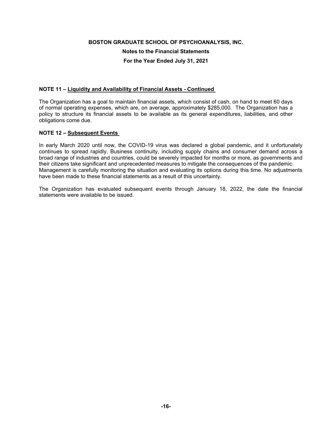**Notes to the Financial Statements** 

**For the Year Ended July 31, 2021**

#### **NOTE 11 – Liquidity and Availability of Financial Assets - Continued**

The Organization has a goal to maintain financial assets, which consist of cash, on hand to meet 60 days of normal operating expenses, which are, on average, approximately \$285,000. The Organization has a policy to structure its financial assets to be available as its general expenditures, liabilities, and other obligations come due.

#### **NOTE 12 – Subsequent Events**

In early March 2020 until now, the COVID-19 virus was declared a global pandemic, and it unfortunately continues to spread rapidly. Business continuity, including supply chains and consumer demand across a broad range of industries and countries, could be severely impacted for months or more, as governments and their citizens take significant and unprecedented measures to mitigate the consequences of the pandemic. Management is carefully monitoring the situation and evaluating its options during this time. No adjustments have been made to these financial statements as a result of this uncertainty.

The Organization has evaluated subsequent events through January 18, 2022, the date the financial statements were available to be issued.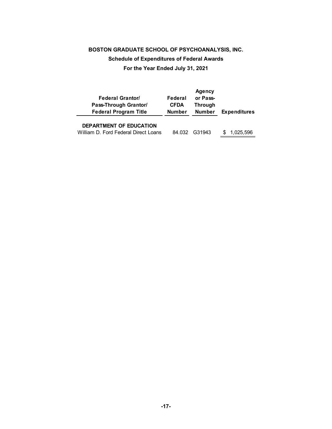## **Schedule of Expenditures of Federal Awards**

**For the Year Ended July 31, 2021**

| <b>Federal Grantor/</b><br>Pass-Through Grantor/<br><b>Federal Program Title</b> | Federal<br><b>CFDA</b><br><b>Number</b> | <b>Agency</b><br>or Pass-<br><b>Through</b><br><b>Number</b> | <b>Expenditures</b> |
|----------------------------------------------------------------------------------|-----------------------------------------|--------------------------------------------------------------|---------------------|
| <b>DEPARTMENT OF EDUCATION</b><br>William D. Ford Federal Direct Loans           |                                         | 84.032 G31943                                                | 1,025,596           |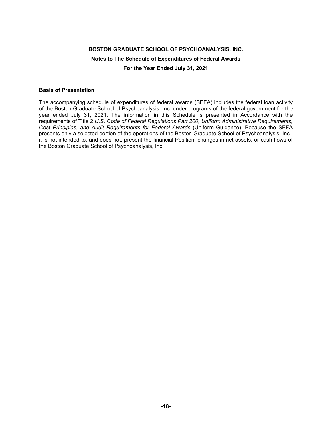## **BOSTON GRADUATE SCHOOL OF PSYCHOANALYSIS, INC. Notes to The Schedule of Expenditures of Federal Awards For the Year Ended July 31, 2021**

#### **Basis of Presentation**

The accompanying schedule of expenditures of federal awards (SEFA) includes the federal loan activity of the Boston Graduate School of Psychoanalysis, Inc. under programs of the federal government for the year ended July 31, 2021. The information in this Schedule is presented in Accordance with the requirements of Title 2 *U.S. Code of Federal Regulations Part 200, Uniform Administrative Requirements, Cost Principles, and Audit Requirements for Federal Awards* (Uniform Guidance). Because the SEFA presents only a selected portion of the operations of the Boston Graduate School of Psychoanalysis, Inc., it is not intended to, and does not, present the financial Position, changes in net assets, or cash flows of the Boston Graduate School of Psychoanalysis, Inc.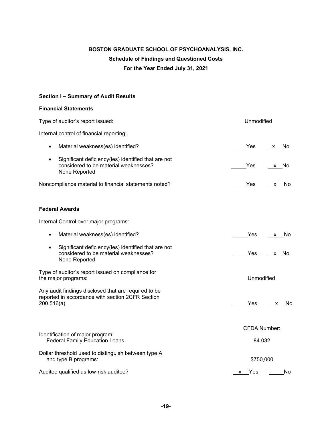## **Schedule of Findings and Questioned Costs**

**For the Year Ended July 31, 2021** 

## **Section I – Summary of Audit Results**

## **Financial Statements**

| Type of auditor's report issued:                                                                                           | Unmodified                |
|----------------------------------------------------------------------------------------------------------------------------|---------------------------|
| Internal control of financial reporting:                                                                                   |                           |
| Material weakness(es) identified?<br>$\bullet$                                                                             | Yes<br>No<br>$\mathsf{X}$ |
| Significant deficiency(ies) identified that are not<br>$\bullet$<br>considered to be material weaknesses?<br>None Reported | Yes<br>No<br>X.           |
| Noncompliance material to financial statements noted?                                                                      | Yes.<br>x No              |
| <b>Federal Awards</b>                                                                                                      |                           |
| Internal Control over major programs:                                                                                      |                           |
| Material weakness(es) identified?<br>$\bullet$                                                                             | <b>Yes</b><br>No.<br>X.   |
| Significant deficiency(ies) identified that are not<br>$\bullet$<br>considered to be material weaknesses?<br>None Reported | Yes<br>No<br>$\mathsf{x}$ |
| Type of auditor's report issued on compliance for<br>the major programs:                                                   | Unmodified                |
| Any audit findings disclosed that are required to be<br>reported in accordance with section 2CFR Section<br>200.516(a)     | Yes<br>No<br>$\mathsf{X}$ |
| Identification of major program:                                                                                           | <b>CFDA Number:</b>       |
| <b>Federal Family Education Loans</b>                                                                                      | 84.032                    |
| Dollar threshold used to distinguish between type A<br>and type B programs:                                                | \$750,000                 |
| Auditee qualified as low-risk auditee?                                                                                     | Yes<br>No<br>x            |